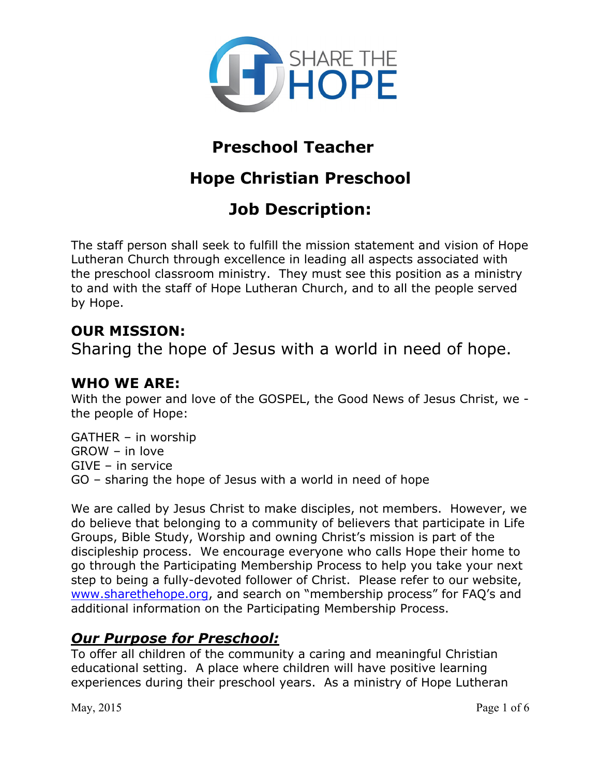

## **Preschool Teacher**

# **Hope Christian Preschool**

# **Job Description:**

The staff person shall seek to fulfill the mission statement and vision of Hope Lutheran Church through excellence in leading all aspects associated with the preschool classroom ministry. They must see this position as a ministry to and with the staff of Hope Lutheran Church, and to all the people served by Hope.

## **OUR MISSION:**

Sharing the hope of Jesus with a world in need of hope.

## **WHO WE ARE:**

With the power and love of the GOSPEL, the Good News of Jesus Christ, we the people of Hope:

GATHER – in worship GROW – in love GIVE – in service GO – sharing the hope of Jesus with a world in need of hope

We are called by Jesus Christ to make disciples, not members. However, we do believe that belonging to a community of believers that participate in Life Groups, Bible Study, Worship and owning Christ's mission is part of the discipleship process. We encourage everyone who calls Hope their home to go through the Participating Membership Process to help you take your next step to being a fully-devoted follower of Christ. Please refer to our website, www.sharethehope.org, and search on "membership process" for FAQ's and additional information on the Participating Membership Process.

### *Our Purpose for Preschool:*

To offer all children of the community a caring and meaningful Christian educational setting. A place where children will have positive learning experiences during their preschool years. As a ministry of Hope Lutheran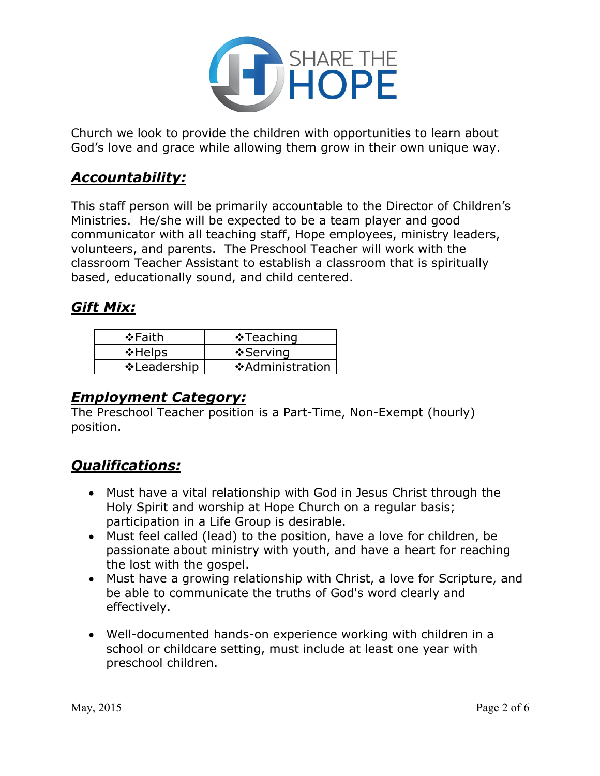

Church we look to provide the children with opportunities to learn about God's love and grace while allowing them grow in their own unique way.

## *Accountability:*

This staff person will be primarily accountable to the Director of Children's Ministries. He/she will be expected to be a team player and good communicator with all teaching staff, Hope employees, ministry leaders, volunteers, and parents. The Preschool Teacher will work with the classroom Teacher Assistant to establish a classroom that is spiritually based, educationally sound, and child centered.

### *Gift Mix:*

| ❖Faith            | $\cdot$ Teaching |
|-------------------|------------------|
| $\triangle$ Helps | ❖ Serving        |
| ❖ Leadership      | ❖ Administration |

#### *Employment Category:*

The Preschool Teacher position is a Part-Time, Non-Exempt (hourly) position.

## *Qualifications:*

- Must have a vital relationship with God in Jesus Christ through the Holy Spirit and worship at Hope Church on a regular basis; participation in a Life Group is desirable.
- Must feel called (lead) to the position, have a love for children, be passionate about ministry with youth, and have a heart for reaching the lost with the gospel.
- Must have a growing relationship with Christ, a love for Scripture, and be able to communicate the truths of God's word clearly and effectively.
- Well-documented hands-on experience working with children in a school or childcare setting, must include at least one year with preschool children.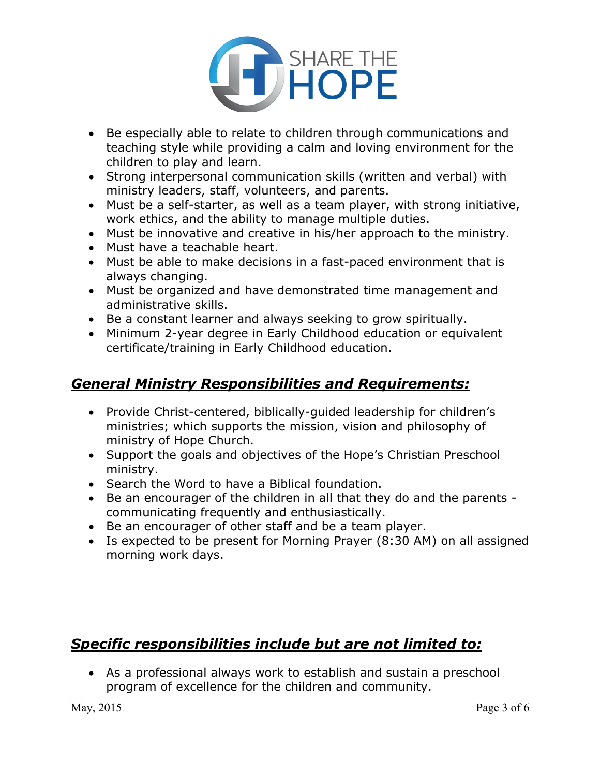

- Be especially able to relate to children through communications and teaching style while providing a calm and loving environment for the children to play and learn.
- Strong interpersonal communication skills (written and verbal) with ministry leaders, staff, volunteers, and parents.
- Must be a self-starter, as well as a team player, with strong initiative, work ethics, and the ability to manage multiple duties.
- Must be innovative and creative in his/her approach to the ministry.
- Must have a teachable heart.
- Must be able to make decisions in a fast-paced environment that is always changing.
- Must be organized and have demonstrated time management and administrative skills.
- Be a constant learner and always seeking to grow spiritually.
- Minimum 2-year degree in Early Childhood education or equivalent certificate/training in Early Childhood education.

## *General Ministry Responsibilities and Requirements:*

- Provide Christ-centered, biblically-guided leadership for children's ministries; which supports the mission, vision and philosophy of ministry of Hope Church.
- Support the goals and objectives of the Hope's Christian Preschool ministry.
- Search the Word to have a Biblical foundation.
- Be an encourager of the children in all that they do and the parents communicating frequently and enthusiastically.
- Be an encourager of other staff and be a team player.
- Is expected to be present for Morning Prayer (8:30 AM) on all assigned morning work days.

## *Specific responsibilities include but are not limited to:*

• As a professional always work to establish and sustain a preschool program of excellence for the children and community.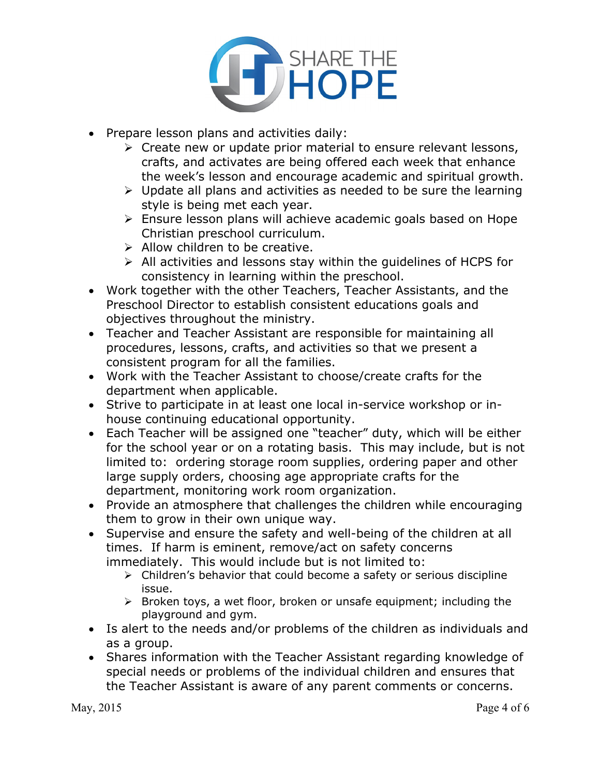

- Prepare lesson plans and activities daily:
	- $\triangleright$  Create new or update prior material to ensure relevant lessons, crafts, and activates are being offered each week that enhance the week's lesson and encourage academic and spiritual growth.
	- $\triangleright$  Update all plans and activities as needed to be sure the learning style is being met each year.
	- $\triangleright$  Ensure lesson plans will achieve academic goals based on Hope Christian preschool curriculum.
	- $\triangleright$  Allow children to be creative.
	- $\triangleright$  All activities and lessons stay within the guidelines of HCPS for consistency in learning within the preschool.
- Work together with the other Teachers, Teacher Assistants, and the Preschool Director to establish consistent educations goals and objectives throughout the ministry.
- Teacher and Teacher Assistant are responsible for maintaining all procedures, lessons, crafts, and activities so that we present a consistent program for all the families.
- Work with the Teacher Assistant to choose/create crafts for the department when applicable.
- Strive to participate in at least one local in-service workshop or inhouse continuing educational opportunity.
- Each Teacher will be assigned one "teacher" duty, which will be either for the school year or on a rotating basis. This may include, but is not limited to: ordering storage room supplies, ordering paper and other large supply orders, choosing age appropriate crafts for the department, monitoring work room organization.
- Provide an atmosphere that challenges the children while encouraging them to grow in their own unique way.
- Supervise and ensure the safety and well-being of the children at all times. If harm is eminent, remove/act on safety concerns immediately. This would include but is not limited to:
	- $\triangleright$  Children's behavior that could become a safety or serious discipline issue.
	- $\triangleright$  Broken toys, a wet floor, broken or unsafe equipment; including the playground and gym.
- Is alert to the needs and/or problems of the children as individuals and as a group.
- Shares information with the Teacher Assistant regarding knowledge of special needs or problems of the individual children and ensures that the Teacher Assistant is aware of any parent comments or concerns.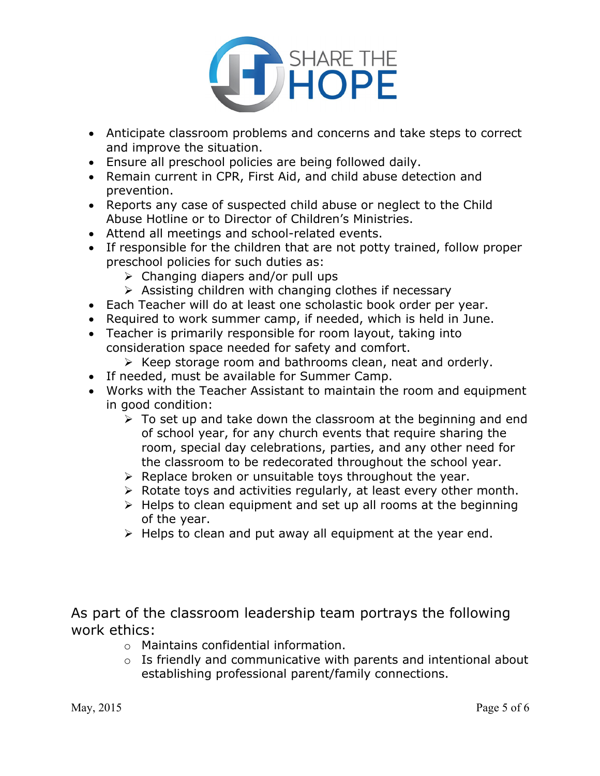

- Anticipate classroom problems and concerns and take steps to correct and improve the situation.
- Ensure all preschool policies are being followed daily.
- Remain current in CPR, First Aid, and child abuse detection and prevention.
- Reports any case of suspected child abuse or neglect to the Child Abuse Hotline or to Director of Children's Ministries.
- Attend all meetings and school-related events.
- If responsible for the children that are not potty trained, follow proper preschool policies for such duties as:
	- $\triangleright$  Changing diapers and/or pull ups
	- $\triangleright$  Assisting children with changing clothes if necessary
- Each Teacher will do at least one scholastic book order per year.
- Required to work summer camp, if needed, which is held in June.
- Teacher is primarily responsible for room layout, taking into consideration space needed for safety and comfort.
	- $\triangleright$  Keep storage room and bathrooms clean, neat and orderly.
- If needed, must be available for Summer Camp.
- Works with the Teacher Assistant to maintain the room and equipment in good condition:
	- $\triangleright$  To set up and take down the classroom at the beginning and end of school year, for any church events that require sharing the room, special day celebrations, parties, and any other need for the classroom to be redecorated throughout the school year.
	- $\triangleright$  Replace broken or unsuitable toys throughout the year.
	- $\triangleright$  Rotate toys and activities regularly, at least every other month.
	- Ø Helps to clean equipment and set up all rooms at the beginning of the year.
	- $\triangleright$  Helps to clean and put away all equipment at the year end.

As part of the classroom leadership team portrays the following work ethics:

- o Maintains confidential information.
- o Is friendly and communicative with parents and intentional about establishing professional parent/family connections.